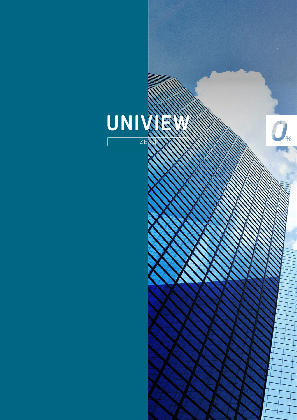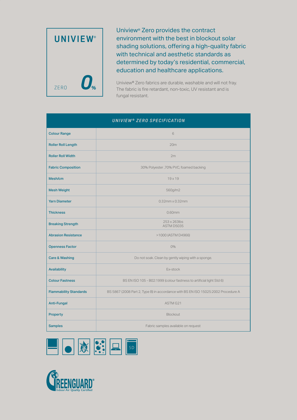

Uniview® Zero provides the contract environment with the best in blockout solar shading solutions, offering a high-quality fabric with technical and aesthetic standards as determined by today's residential, commercial, education and healthcare applications.

Uniview® Zero fabrics are durable, washable and will not fray. The fabric is fire retardant, non-toxic, UV resistant and is fungal resistant.

# *UNIVIEW® ZERO SPECIFICATION*

| <b>Colour Range</b>           | 6                                                                                 |  |  |  |  |  |  |  |
|-------------------------------|-----------------------------------------------------------------------------------|--|--|--|--|--|--|--|
| <b>Roller Roll Length</b>     | 20m                                                                               |  |  |  |  |  |  |  |
| <b>Roller Roll Width</b>      | 2m                                                                                |  |  |  |  |  |  |  |
| <b>Fabric Composition</b>     | 30% Polyester ,70% PVC, foamed backing                                            |  |  |  |  |  |  |  |
| Mesh/cm                       | $19 \times 19$                                                                    |  |  |  |  |  |  |  |
| <b>Mesh Weight</b>            | 560g/m2                                                                           |  |  |  |  |  |  |  |
| <b>Yarn Diameter</b>          | $0.32$ mm x $0.32$ mm                                                             |  |  |  |  |  |  |  |
| <b>Thickness</b>              | 0.60mm                                                                            |  |  |  |  |  |  |  |
| <b>Breaking Strength</b>      | 253 x 263lbs<br>ASTM D5035                                                        |  |  |  |  |  |  |  |
| <b>Abrasion Resistance</b>    | >1000 (ASTM D4966)                                                                |  |  |  |  |  |  |  |
| <b>Openness Factor</b>        | $O\%$                                                                             |  |  |  |  |  |  |  |
| <b>Care &amp; Washing</b>     | Do not soak. Clean by gently wiping with a sponge.                                |  |  |  |  |  |  |  |
| Availability                  | Ex-stock                                                                          |  |  |  |  |  |  |  |
| <b>Colour Fastness</b>        | BS EN ISO 105 - B02:1999 (colour fastness to artificial light Std 6)              |  |  |  |  |  |  |  |
| <b>Flammability Standards</b> | BS 5867 (2008 Part 2, Type B) in accordance with BS EN ISO 15025:2002 Procedure A |  |  |  |  |  |  |  |
| <b>Anti-Fungal</b>            | ASTM G21                                                                          |  |  |  |  |  |  |  |
| <b>Property</b>               | <b>Blockout</b>                                                                   |  |  |  |  |  |  |  |
| <b>Samples</b>                | Fabric samples available on request                                               |  |  |  |  |  |  |  |



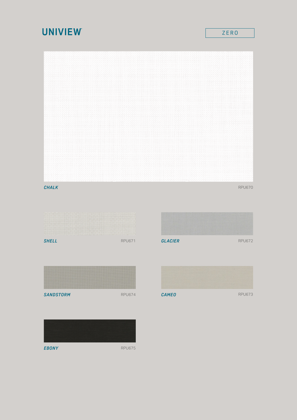# **UNIVIEW**

### *CHALK* RPU670 **RPU670**

RPU671 *SHELL GLACIER*



RPU672





*EBONY*

RPU675